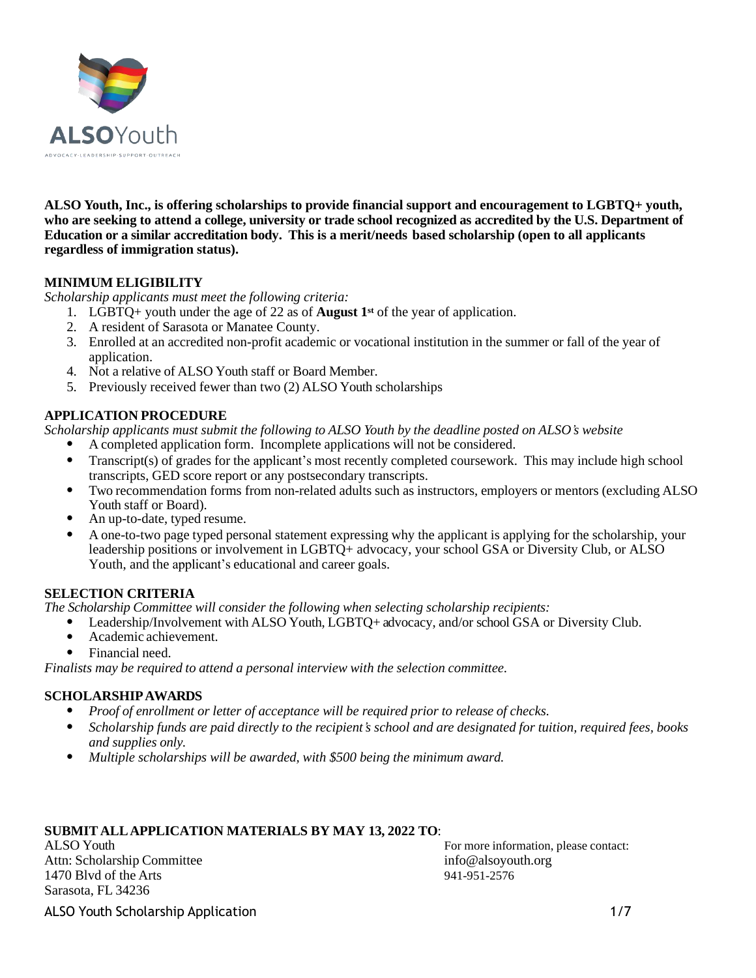

**ALSO Youth, Inc., is offering scholarships to provide financial support and encouragement to LGBTQ+ youth, who are seeking to attend a college, university or trade school recognized as accredited by the U.S. Department of Education or a similar accreditation body. This is a merit/needs based scholarship (open to all applicants regardless of immigration status).**

# **MINIMUM ELIGIBILITY**

*Scholarship applicants must meet the following criteria:*

- 1. LGBTQ+ youth under the age of 22 as of **August 1st** of the year of application.
- 2. A resident of Sarasota or Manatee County.
- 3. Enrolled at an accredited non-profit academic or vocational institution in the summer or fall of the year of application.
- 4. Not a relative of ALSO Youth staff or Board Member.
- 5. Previously received fewer than two (2) ALSO Youth scholarships

# **APPLICATION PROCEDURE**

*Scholarship applicants must submit the following to ALSO Youth by the deadline posted on ALSO's website*

- A completed application form. Incomplete applications will not be considered.
- Transcript(s) of grades for the applicant's most recently completed coursework. This may include high school transcripts, GED score report or any postsecondary transcripts.
- Two recommendation forms from non-related adults such as instructors, employers or mentors (excluding ALSO Youth staff or Board).
- An up-to-date, typed resume.
- A one-to-two page typed personal statement expressing why the applicant is applying for the scholarship, your leadership positions or involvement in LGBTQ+ advocacy, your school GSA or Diversity Club, or ALSO Youth, and the applicant's educational and career goals.

# **SELECTION CRITERIA**

*The Scholarship Committee will consider the following when selecting scholarship recipients:*

- Leadership/Involvement with ALSO Youth, LGBTQ+ advocacy, and/or school GSA or Diversity Club.
- Academic achievement.
- Financial need.

*Finalists may be required to attend a personal interview with the selection committee.*

# **SCHOLARSHIPAWARDS**

- *Proof of enrollment or letter of acceptance will be required prior to release of checks.*
- Scholarship funds are paid directly to the recipient's school and are designated for tuition, required fees, books *and supplies only.*
- *Multiple scholarships will be awarded, with \$500 being the minimum award.*

# **SUBMIT ALLAPPLICATION MATERIALS BY MAY 13, 2022 TO**:

Attn: Scholarship Committee [info@alsoyouth.org](mailto:info@alsoyouth.org) 1470 Blvd of the Arts 941-951-2576 Sarasota, FL 34236

ALSO Youth For more information, please contact:

ALSO Youth Scholarship Application 1/7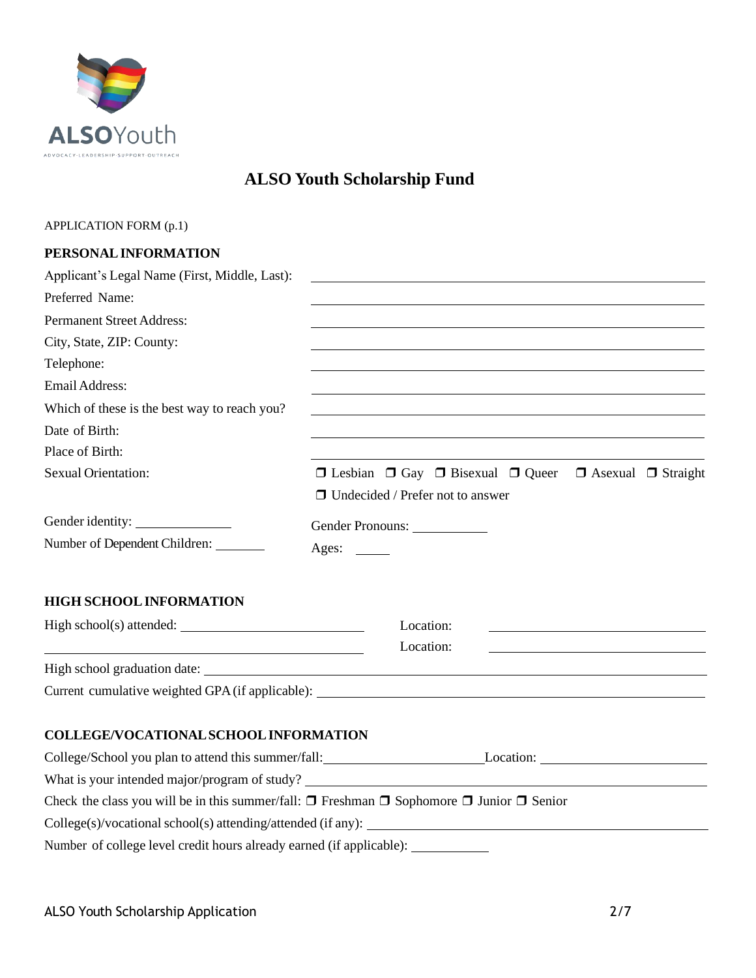

# **ALSO Youth Scholarship Fund**

# APPLICATION FORM (p.1)

# **PERSONALINFORMATION**

| Applicant's Legal Name (First, Middle, Last):               | <u> 1980 - John Stein, marking and de broad and de broad and de broad and de broad and de broad and de broad and</u> |
|-------------------------------------------------------------|----------------------------------------------------------------------------------------------------------------------|
| Preferred Name:                                             |                                                                                                                      |
| <b>Permanent Street Address:</b>                            |                                                                                                                      |
| City, State, ZIP: County:                                   |                                                                                                                      |
| Telephone:                                                  | and the control of the control of the control of the control of the control of the control of the control of the     |
| Email Address:                                              |                                                                                                                      |
| Which of these is the best way to reach you?                |                                                                                                                      |
| Date of Birth:                                              | and the control of the control of the control of the control of the control of the control of the control of the     |
| Place of Birth:                                             |                                                                                                                      |
| <b>Sexual Orientation:</b>                                  | $\Box$ Lesbian $\Box$ Gay $\Box$ Bisexual $\Box$ Queer $\Box$ Asexual $\Box$ Straight                                |
|                                                             | $\Box$ Undecided / Prefer not to answer                                                                              |
| Gender identity:                                            | Gender Pronouns:                                                                                                     |
| Number of Dependent Children: _______                       |                                                                                                                      |
| <b>HIGH SCHOOL INFORMATION</b><br>High school(s) attended:  | Location:<br>Location:                                                                                               |
| <u> 1989 - Johann Stoff, Amerikaansk politiker († 1908)</u> |                                                                                                                      |
|                                                             | Current cumulative weighted GPA (if applicable): ________________________________                                    |
|                                                             |                                                                                                                      |
| COLLEGE/VOCATIONAL SCHOOL INFORMATION                       |                                                                                                                      |
|                                                             | College/School you plan to attend this summer/fall: Location: Location: Location:                                    |
|                                                             | What is your intended major/program of study?                                                                        |
|                                                             | Check the class you will be in this summer/fall: $\Box$ Freshman $\Box$ Sophomore $\Box$ Junior $\Box$ Senior        |
|                                                             | $\text{College}(s)/\text{vocational school}(s)$ attending/attended (if any):                                         |

Number of college level credit hours already earned (if applicable):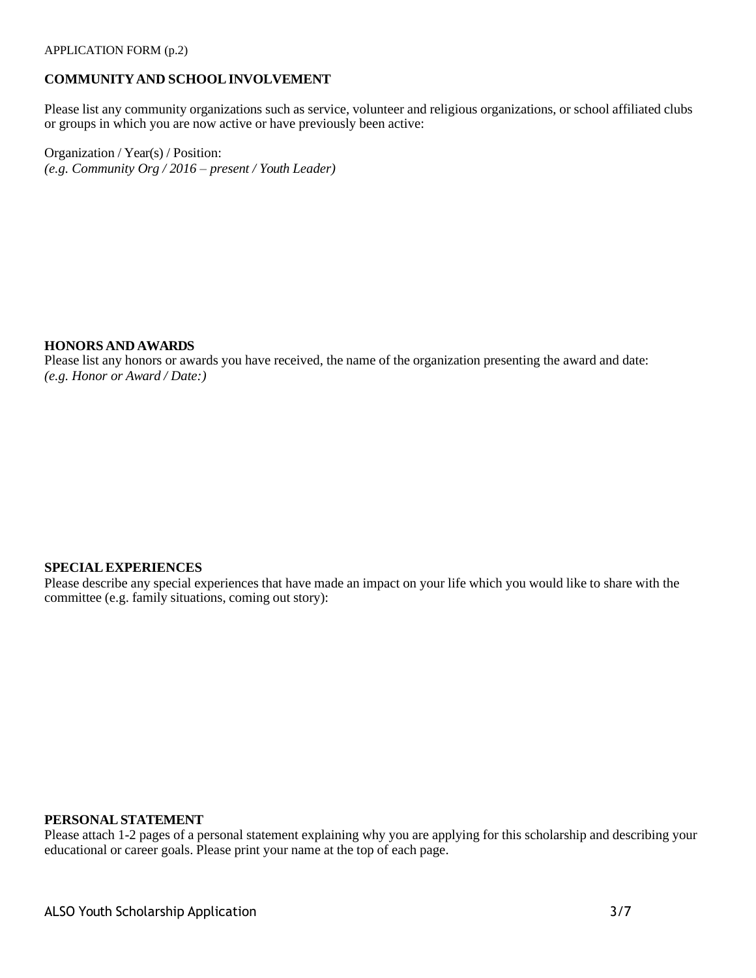# **COMMUNITYAND SCHOOLINVOLVEMENT**

Please list any community organizations such as service, volunteer and religious organizations, or school affiliated clubs or groups in which you are now active or have previously been active:

Organization / Year(s) / Position: *(e.g. Community Org / 2016 – present / Youth Leader)*

#### **HONORS AND AWARDS**

Please list any honors or awards you have received, the name of the organization presenting the award and date: *(e.g. Honor or Award / Date:)*

#### **SPECIALEXPERIENCES**

Please describe any special experiences that have made an impact on your life which you would like to share with the committee (e.g. family situations, coming out story):

#### **PERSONALSTATEMENT**

Please attach 1-2 pages of a personal statement explaining why you are applying for this scholarship and describing your educational or career goals. Please print your name at the top of each page.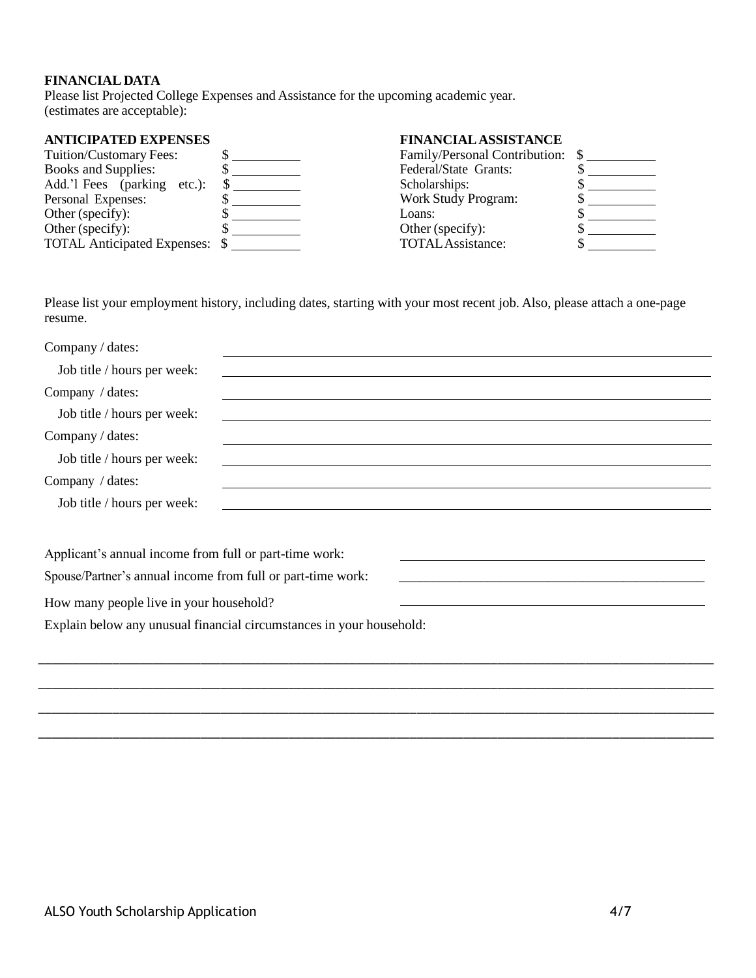# **FINANCIAL DATA**

Please list Projected College Expenses and Assistance for the upcoming academic year. (estimates are acceptable):

# **ANTICIPATED EXPENSES FINANCIALASSISTANCE**

| Tuition/Customary Fees:            |   |
|------------------------------------|---|
| <b>Books and Supplies:</b>         |   |
| Add.'l Fees (parking etc.):        | S |
| Personal Expenses:                 |   |
| Other (specify):                   |   |
| Other (specify):                   |   |
| <b>TOTAL Anticipated Expenses:</b> |   |
|                                    |   |

| Family/Personal Contribution: |   |  |
|-------------------------------|---|--|
| Federal/State Grants:         |   |  |
| Scholarships:                 |   |  |
| <b>Work Study Program:</b>    |   |  |
| Loans:                        | S |  |
| Other (specify):              | S |  |
| <b>TOTAL</b> Assistance:      |   |  |
|                               |   |  |

Please list your employment history, including dates, starting with your most recent job. Also, please attach a one-page resume.

| Company / dates:                                                                                                                                      |
|-------------------------------------------------------------------------------------------------------------------------------------------------------|
| Job title / hours per week:<br><u> 1989 - Johann Stoff, deutscher Stoffen und der Stoffen und der Stoffen und der Stoffen und der Stoffen und der</u> |
| Company / dates:<br>the contract of the contract of the contract of the contract of the contract of the contract of the contract of                   |
| Job title / hours per week:<br><u> 1989 - Johann John Barn, mars and deur de Barn, mars and deur de Barn, mars and deur de Barn, mars and deur d</u>  |
| Company / dates:                                                                                                                                      |
| Job title / hours per week:                                                                                                                           |
| Company / dates:<br><u> 1990 - Jan Samuel Barbara, martin da shekara ta 1991 - An tsara tsa a shekara tsa a tsara tsa a tsara tsa a t</u>             |
| Job title / hours per week:<br><u> 1989 - Johann Stoff, amerikansk politiker (d. 1989)</u>                                                            |
|                                                                                                                                                       |
| Applicant's annual income from full or part-time work:                                                                                                |
| Spouse/Partner's annual income from full or part-time work:                                                                                           |
| How many people live in your household?                                                                                                               |
| Explain below any unusual financial circumstances in your household:                                                                                  |
|                                                                                                                                                       |
|                                                                                                                                                       |
|                                                                                                                                                       |

\_\_\_\_\_\_\_\_\_\_\_\_\_\_\_\_\_\_\_\_\_\_\_\_\_\_\_\_\_\_\_\_\_\_\_\_\_\_\_\_\_\_\_\_\_\_\_\_\_\_\_\_\_\_\_\_\_\_\_\_\_\_\_\_\_\_\_\_\_\_\_\_\_\_\_\_\_\_\_\_\_\_\_\_\_\_\_\_\_\_\_\_\_\_\_\_\_\_\_\_

\_\_\_\_\_\_\_\_\_\_\_\_\_\_\_\_\_\_\_\_\_\_\_\_\_\_\_\_\_\_\_\_\_\_\_\_\_\_\_\_\_\_\_\_\_\_\_\_\_\_\_\_\_\_\_\_\_\_\_\_\_\_\_\_\_\_\_\_\_\_\_\_\_\_\_\_\_\_\_\_\_\_\_\_\_\_\_\_\_\_\_\_\_\_\_\_\_\_\_\_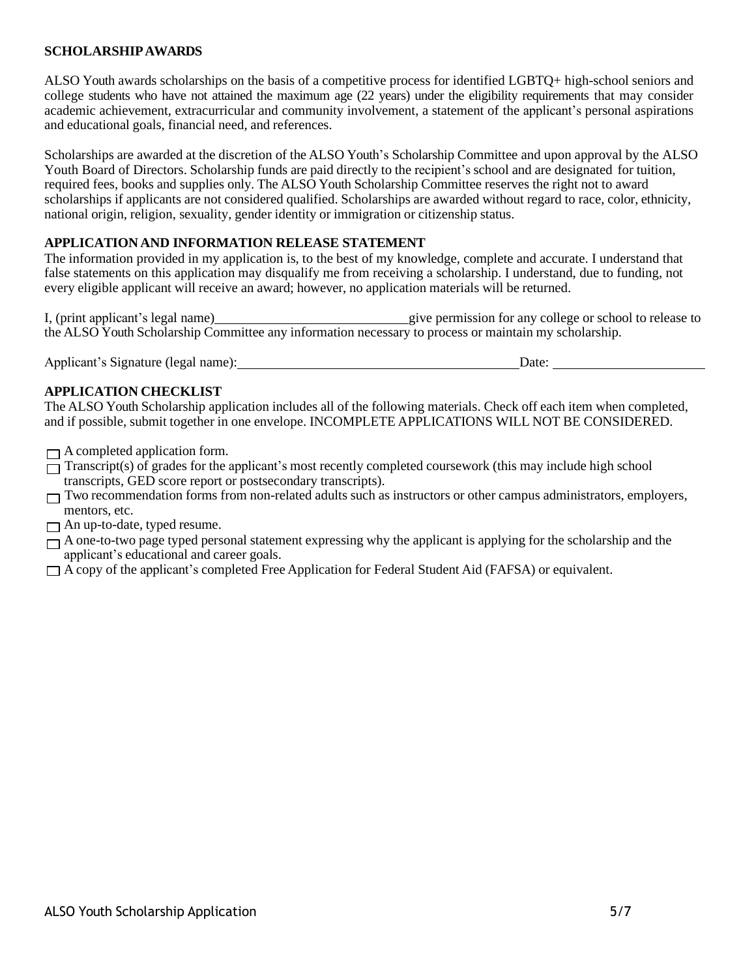# **SCHOLARSHIPAWARDS**

ALSO Youth awards scholarships on the basis of a competitive process for identified LGBTQ+ high-school seniors and college students who have not attained the maximum age (22 years) under the eligibility requirements that may consider academic achievement, extracurricular and community involvement, a statement of the applicant's personal aspirations and educational goals, financial need, and references.

Scholarships are awarded at the discretion of the ALSO Youth's Scholarship Committee and upon approval by the ALSO Youth Board of Directors. Scholarship funds are paid directly to the recipient's school and are designated for tuition, required fees, books and supplies only. The ALSO Youth Scholarship Committee reserves the right not to award scholarships if applicants are not considered qualified. Scholarships are awarded without regard to race, color, ethnicity, national origin, religion, sexuality, gender identity or immigration or citizenship status.

## **APPLICATION AND INFORMATION RELEASE STATEMENT**

The information provided in my application is, to the best of my knowledge, complete and accurate. I understand that false statements on this application may disqualify me from receiving a scholarship. I understand, due to funding, not every eligible applicant will receive an award; however, no application materials will be returned.

I, (print applicant's legal name) give permission for any college or school to release to the ALSO Youth Scholarship Committee any information necessary to process or maintain my scholarship.

Applicant's Signature (legal name): Date: Date:

# **APPLICATION CHECKLIST**

The ALSO Youth Scholarship application includes all of the following materials. Check off each item when completed, and if possible, submit together in one envelope. INCOMPLETE APPLICATIONS WILL NOT BE CONSIDERED.

- $\Box$  A completed application form.
- $\overline{\Box}$  Transcript(s) of grades for the applicant's most recently completed coursework (this may include high school transcripts, GED score report or postsecondary transcripts).
- $\Box$  Two recommendation forms from non-related adults such as instructors or other campus administrators, employers, mentors, etc.
- $\Box$  An up-to-date, typed resume.
- $\Box$  A one-to-two page typed personal statement expressing why the applicant is applying for the scholarship and the applicant's educational and career goals.
- A copy of the applicant's completed Free Application for Federal Student Aid (FAFSA) or equivalent.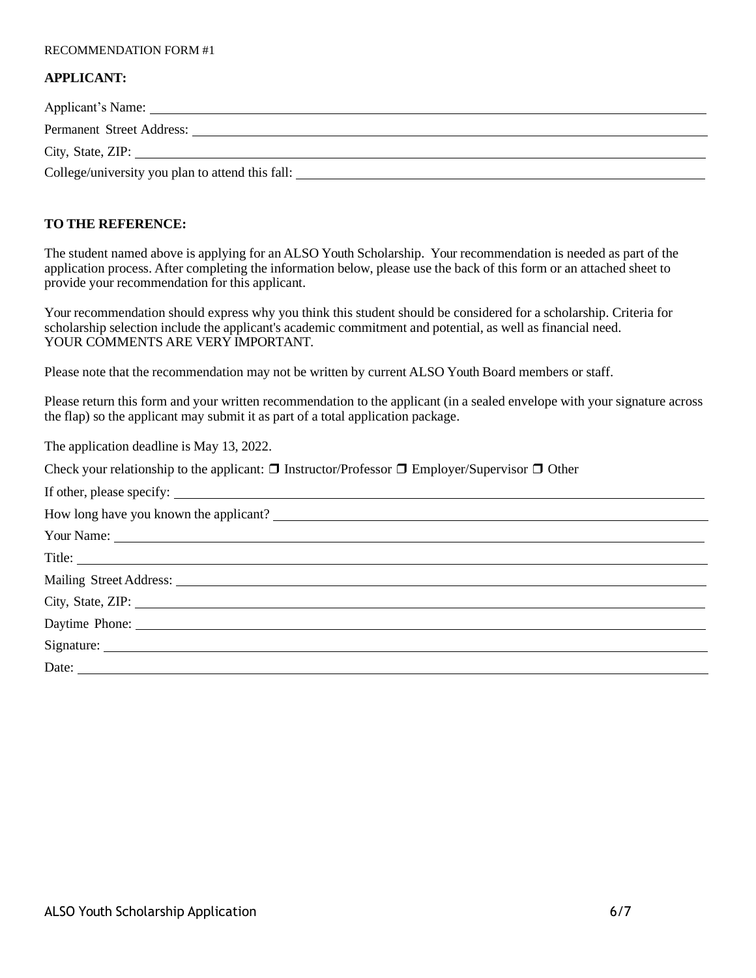#### RECOMMENDATION FORM #1

#### **APPLICANT:**

| Applicant's Name:<br><u> 1989 - Jan Sterling von de Sterling von de Sterling von de Sterling von de Sterling von de Sterling von de S</u> |
|-------------------------------------------------------------------------------------------------------------------------------------------|
| Permanent Street Address:                                                                                                                 |
| City, State, ZIP:                                                                                                                         |
| College/university you plan to attend this fall:                                                                                          |

# **TO THE REFERENCE:**

The student named above is applying for an ALSO Youth Scholarship. Your recommendation is needed as part of the application process. After completing the information below, please use the back of this form or an attached sheet to provide your recommendation for this applicant.

Your recommendation should express why you think this student should be considered for a scholarship. Criteria for scholarship selection include the applicant's academic commitment and potential, as well as financial need. YOUR COMMENTS ARE VERY IMPORTANT.

Please note that the recommendation may not be written by current ALSO Youth Board members or staff.

Please return this form and your written recommendation to the applicant (in a sealed envelope with your signature across the flap) so the applicant may submit it as part of a total application package.

The application deadline is May 13, 2022.

Check your relationship to the applicant:  $\Box$  Instructor/Professor  $\Box$  Employer/Supervisor  $\Box$  Other

| Your Name: Name: New Your Name: New Your Name: New Your Name: New Your Name: New Your Name: New Your Name: New Your Name: New Your Name: New Your Name: New Your Name: New Your Name: New Your Name: New Your Name: New Your N                                                                                                                                                                                |
|---------------------------------------------------------------------------------------------------------------------------------------------------------------------------------------------------------------------------------------------------------------------------------------------------------------------------------------------------------------------------------------------------------------|
| Title:                                                                                                                                                                                                                                                                                                                                                                                                        |
| Mailing Street Address: 1988 and 2008 and 2008 and 2008 and 2008 and 2008 and 2008 and 2008 and 2008 and 2008 and 2008 and 2008 and 2008 and 2008 and 2008 and 2008 and 2008 and 2008 and 2008 and 2008 and 2008 and 2008 and                                                                                                                                                                                 |
| City, State, ZIP:                                                                                                                                                                                                                                                                                                                                                                                             |
|                                                                                                                                                                                                                                                                                                                                                                                                               |
|                                                                                                                                                                                                                                                                                                                                                                                                               |
| Date: $\frac{1}{\sqrt{1-\frac{1}{2}}\sqrt{1-\frac{1}{2}}\sqrt{1-\frac{1}{2}}\sqrt{1-\frac{1}{2}}\sqrt{1-\frac{1}{2}}\sqrt{1-\frac{1}{2}}\sqrt{1-\frac{1}{2}}\sqrt{1-\frac{1}{2}}\sqrt{1-\frac{1}{2}}\sqrt{1-\frac{1}{2}}\sqrt{1-\frac{1}{2}}\sqrt{1-\frac{1}{2}}\sqrt{1-\frac{1}{2}}\sqrt{1-\frac{1}{2}}\sqrt{1-\frac{1}{2}}\sqrt{1-\frac{1}{2}}\sqrt{1-\frac{1}{2}}\sqrt{1-\frac{1}{2}}\sqrt{1-\frac{1}{2}}$ |